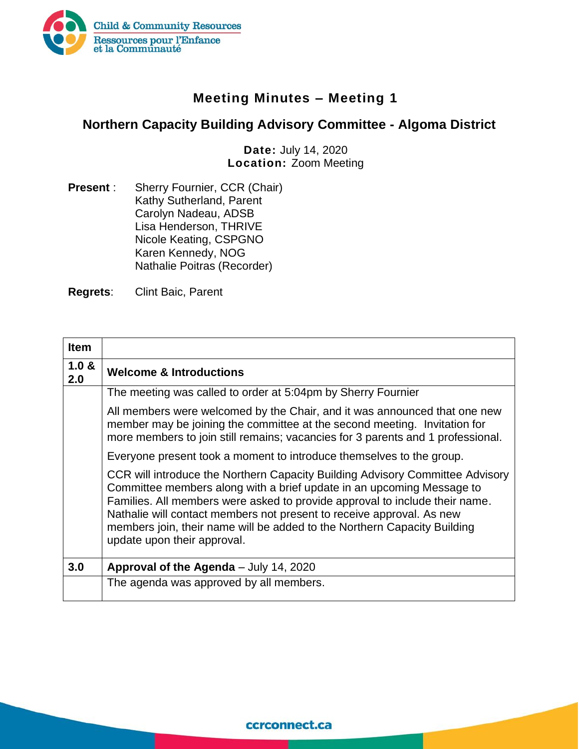

## **Meeting Minutes – Meeting 1**

## **Northern Capacity Building Advisory Committee - Algoma District**

**Date:** July 14, 2020 **Location:** Zoom Meeting

**Present** : Sherry Fournier, CCR (Chair) Kathy Sutherland, Parent Carolyn Nadeau, ADSB Lisa Henderson, THRIVE Nicole Keating, CSPGNO Karen Kennedy, NOG Nathalie Poitras (Recorder)

**Regrets**: Clint Baic, Parent

| <b>Item</b>  |                                                                                                                                                                                                                                                                                                                                                                                                                           |
|--------------|---------------------------------------------------------------------------------------------------------------------------------------------------------------------------------------------------------------------------------------------------------------------------------------------------------------------------------------------------------------------------------------------------------------------------|
| 1.0 &<br>2.0 | <b>Welcome &amp; Introductions</b>                                                                                                                                                                                                                                                                                                                                                                                        |
|              | The meeting was called to order at 5:04pm by Sherry Fournier                                                                                                                                                                                                                                                                                                                                                              |
|              | All members were welcomed by the Chair, and it was announced that one new<br>member may be joining the committee at the second meeting. Invitation for<br>more members to join still remains; vacancies for 3 parents and 1 professional.                                                                                                                                                                                 |
|              | Everyone present took a moment to introduce themselves to the group.                                                                                                                                                                                                                                                                                                                                                      |
|              | CCR will introduce the Northern Capacity Building Advisory Committee Advisory<br>Committee members along with a brief update in an upcoming Message to<br>Families. All members were asked to provide approval to include their name.<br>Nathalie will contact members not present to receive approval. As new<br>members join, their name will be added to the Northern Capacity Building<br>update upon their approval. |
| 3.0          | Approval of the Agenda - July 14, 2020                                                                                                                                                                                                                                                                                                                                                                                    |
|              | The agenda was approved by all members.                                                                                                                                                                                                                                                                                                                                                                                   |

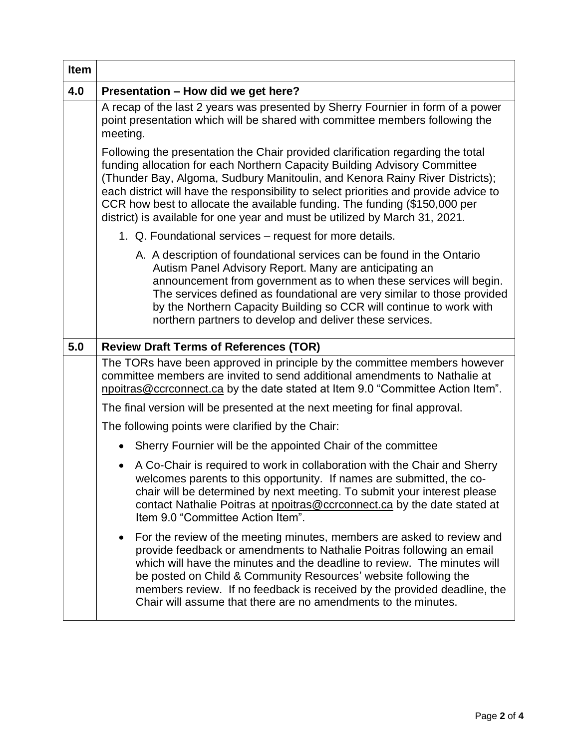| <b>Item</b> |                                                                                                                                                                                                                                                                                                                                                                                                                                                                                                    |
|-------------|----------------------------------------------------------------------------------------------------------------------------------------------------------------------------------------------------------------------------------------------------------------------------------------------------------------------------------------------------------------------------------------------------------------------------------------------------------------------------------------------------|
| 4.0         | Presentation - How did we get here?                                                                                                                                                                                                                                                                                                                                                                                                                                                                |
|             | A recap of the last 2 years was presented by Sherry Fournier in form of a power<br>point presentation which will be shared with committee members following the<br>meeting.                                                                                                                                                                                                                                                                                                                        |
|             | Following the presentation the Chair provided clarification regarding the total<br>funding allocation for each Northern Capacity Building Advisory Committee<br>(Thunder Bay, Algoma, Sudbury Manitoulin, and Kenora Rainy River Districts);<br>each district will have the responsibility to select priorities and provide advice to<br>CCR how best to allocate the available funding. The funding (\$150,000 per<br>district) is available for one year and must be utilized by March 31, 2021. |
|             | 1. Q. Foundational services – request for more details.                                                                                                                                                                                                                                                                                                                                                                                                                                            |
|             | A. A description of foundational services can be found in the Ontario<br>Autism Panel Advisory Report. Many are anticipating an<br>announcement from government as to when these services will begin.<br>The services defined as foundational are very similar to those provided<br>by the Northern Capacity Building so CCR will continue to work with<br>northern partners to develop and deliver these services.                                                                                |
| 5.0         | <b>Review Draft Terms of References (TOR)</b>                                                                                                                                                                                                                                                                                                                                                                                                                                                      |
|             | The TORs have been approved in principle by the committee members however<br>committee members are invited to send additional amendments to Nathalie at<br>npoitras@ccrconnect.ca by the date stated at Item 9.0 "Committee Action Item".                                                                                                                                                                                                                                                          |
|             | The final version will be presented at the next meeting for final approval.                                                                                                                                                                                                                                                                                                                                                                                                                        |
|             | The following points were clarified by the Chair:                                                                                                                                                                                                                                                                                                                                                                                                                                                  |
|             | Sherry Fournier will be the appointed Chair of the committee                                                                                                                                                                                                                                                                                                                                                                                                                                       |
|             | A Co-Chair is required to work in collaboration with the Chair and Sherry<br>$\bullet$<br>welcomes parents to this opportunity. If names are submitted, the co-<br>chair will be determined by next meeting. To submit your interest please<br>contact Nathalie Poitras at npoitras@ccrconnect.ca by the date stated at<br>Item 9.0 "Committee Action Item".                                                                                                                                       |
|             | For the review of the meeting minutes, members are asked to review and<br>$\bullet$<br>provide feedback or amendments to Nathalie Poitras following an email<br>which will have the minutes and the deadline to review. The minutes will<br>be posted on Child & Community Resources' website following the<br>members review. If no feedback is received by the provided deadline, the<br>Chair will assume that there are no amendments to the minutes.                                          |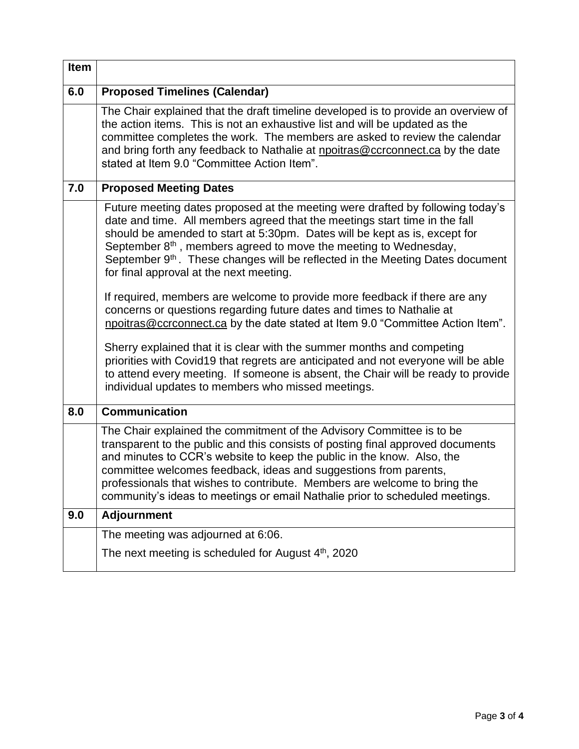| <b>Item</b> |                                                                                                                                                                                                                                                                                                                                                                                                                                                                                                                                                                                                                                                                                                                                                                                                                                                                                                                                                                                                              |
|-------------|--------------------------------------------------------------------------------------------------------------------------------------------------------------------------------------------------------------------------------------------------------------------------------------------------------------------------------------------------------------------------------------------------------------------------------------------------------------------------------------------------------------------------------------------------------------------------------------------------------------------------------------------------------------------------------------------------------------------------------------------------------------------------------------------------------------------------------------------------------------------------------------------------------------------------------------------------------------------------------------------------------------|
| 6.0         | <b>Proposed Timelines (Calendar)</b>                                                                                                                                                                                                                                                                                                                                                                                                                                                                                                                                                                                                                                                                                                                                                                                                                                                                                                                                                                         |
|             | The Chair explained that the draft timeline developed is to provide an overview of<br>the action items. This is not an exhaustive list and will be updated as the<br>committee completes the work. The members are asked to review the calendar<br>and bring forth any feedback to Nathalie at npoitras@ccrconnect.ca by the date<br>stated at Item 9.0 "Committee Action Item".                                                                                                                                                                                                                                                                                                                                                                                                                                                                                                                                                                                                                             |
| 7.0         | <b>Proposed Meeting Dates</b>                                                                                                                                                                                                                                                                                                                                                                                                                                                                                                                                                                                                                                                                                                                                                                                                                                                                                                                                                                                |
|             | Future meeting dates proposed at the meeting were drafted by following today's<br>date and time. All members agreed that the meetings start time in the fall<br>should be amended to start at 5:30pm. Dates will be kept as is, except for<br>September $8th$ , members agreed to move the meeting to Wednesday,<br>September 9 <sup>th</sup> . These changes will be reflected in the Meeting Dates document<br>for final approval at the next meeting.<br>If required, members are welcome to provide more feedback if there are any<br>concerns or questions regarding future dates and times to Nathalie at<br>npoitras@ccrconnect.ca by the date stated at Item 9.0 "Committee Action Item".<br>Sherry explained that it is clear with the summer months and competing<br>priorities with Covid19 that regrets are anticipated and not everyone will be able<br>to attend every meeting. If someone is absent, the Chair will be ready to provide<br>individual updates to members who missed meetings. |
| 8.0         | <b>Communication</b>                                                                                                                                                                                                                                                                                                                                                                                                                                                                                                                                                                                                                                                                                                                                                                                                                                                                                                                                                                                         |
|             | The Chair explained the commitment of the Advisory Committee is to be<br>transparent to the public and this consists of posting final approved documents<br>and minutes to CCR's website to keep the public in the know. Also, the<br>committee welcomes feedback, ideas and suggestions from parents,<br>professionals that wishes to contribute. Members are welcome to bring the<br>community's ideas to meetings or email Nathalie prior to scheduled meetings.                                                                                                                                                                                                                                                                                                                                                                                                                                                                                                                                          |
| 9.0         | <b>Adjournment</b>                                                                                                                                                                                                                                                                                                                                                                                                                                                                                                                                                                                                                                                                                                                                                                                                                                                                                                                                                                                           |
|             | The meeting was adjourned at 6:06.                                                                                                                                                                                                                                                                                                                                                                                                                                                                                                                                                                                                                                                                                                                                                                                                                                                                                                                                                                           |
|             | The next meeting is scheduled for August $4th$ , 2020                                                                                                                                                                                                                                                                                                                                                                                                                                                                                                                                                                                                                                                                                                                                                                                                                                                                                                                                                        |